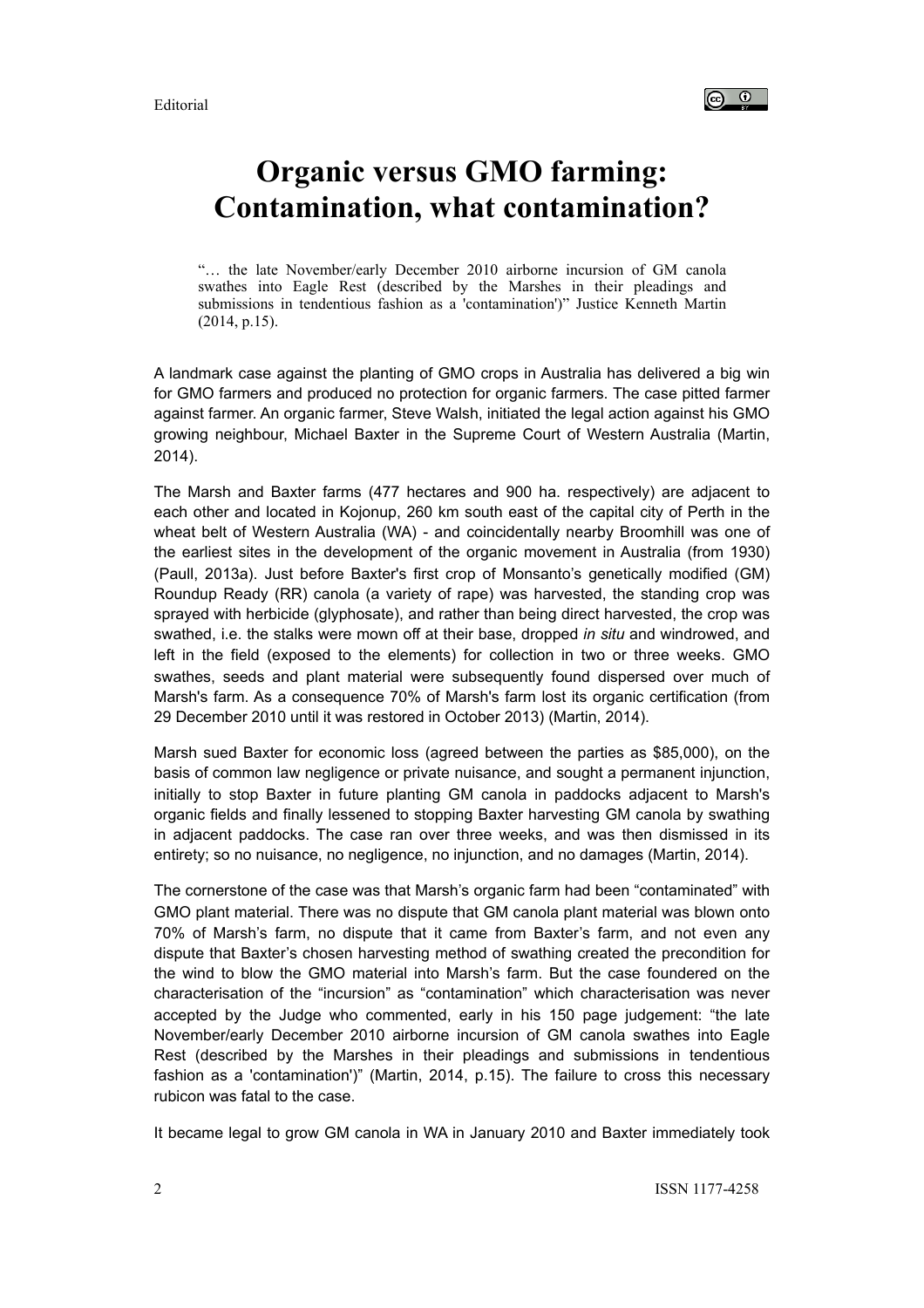Editorial



## **Organic versus GMO farming: Contamination, what contamination?**

"… the late November/early December 2010 airborne incursion of GM canola swathes into Eagle Rest (described by the Marshes in their pleadings and submissions in tendentious fashion as a 'contamination')" Justice Kenneth Martin (2014, p.15).

A landmark case against the planting of GMO crops in Australia has delivered a big win for GMO farmers and produced no protection for organic farmers. The case pitted farmer against farmer. An organic farmer, Steve Walsh, initiated the legal action against his GMO growing neighbour, Michael Baxter in the Supreme Court of Western Australia (Martin, 2014).

The Marsh and Baxter farms (477 hectares and 900 ha. respectively) are adjacent to each other and located in Kojonup, 260 km south east of the capital city of Perth in the wheat belt of Western Australia (WA) - and coincidentally nearby Broomhill was one of the earliest sites in the development of the organic movement in Australia (from 1930) (Paull, 2013a). Just before Baxter's first crop of Monsanto's genetically modified (GM) Roundup Ready (RR) canola (a variety of rape) was harvested, the standing crop was sprayed with herbicide (glyphosate), and rather than being direct harvested, the crop was swathed, i.e. the stalks were mown off at their base, dropped *in situ* and windrowed, and left in the field (exposed to the elements) for collection in two or three weeks. GMO swathes, seeds and plant material were subsequently found dispersed over much of Marsh's farm. As a consequence 70% of Marsh's farm lost its organic certification (from 29 December 2010 until it was restored in October 2013) (Martin, 2014).

Marsh sued Baxter for economic loss (agreed between the parties as \$85,000), on the basis of common law negligence or private nuisance, and sought a permanent injunction, initially to stop Baxter in future planting GM canola in paddocks adjacent to Marsh's organic fields and finally lessened to stopping Baxter harvesting GM canola by swathing in adjacent paddocks. The case ran over three weeks, and was then dismissed in its entirety; so no nuisance, no negligence, no injunction, and no damages (Martin, 2014).

The cornerstone of the case was that Marsh's organic farm had been "contaminated" with GMO plant material. There was no dispute that GM canola plant material was blown onto 70% of Marsh's farm, no dispute that it came from Baxter's farm, and not even any dispute that Baxter's chosen harvesting method of swathing created the precondition for the wind to blow the GMO material into Marsh's farm. But the case foundered on the characterisation of the "incursion" as "contamination" which characterisation was never accepted by the Judge who commented, early in his 150 page judgement: "the late November/early December 2010 airborne incursion of GM canola swathes into Eagle Rest (described by the Marshes in their pleadings and submissions in tendentious fashion as a 'contamination')" (Martin, 2014, p.15). The failure to cross this necessary rubicon was fatal to the case.

It became legal to grow GM canola in WA in January 2010 and Baxter immediately took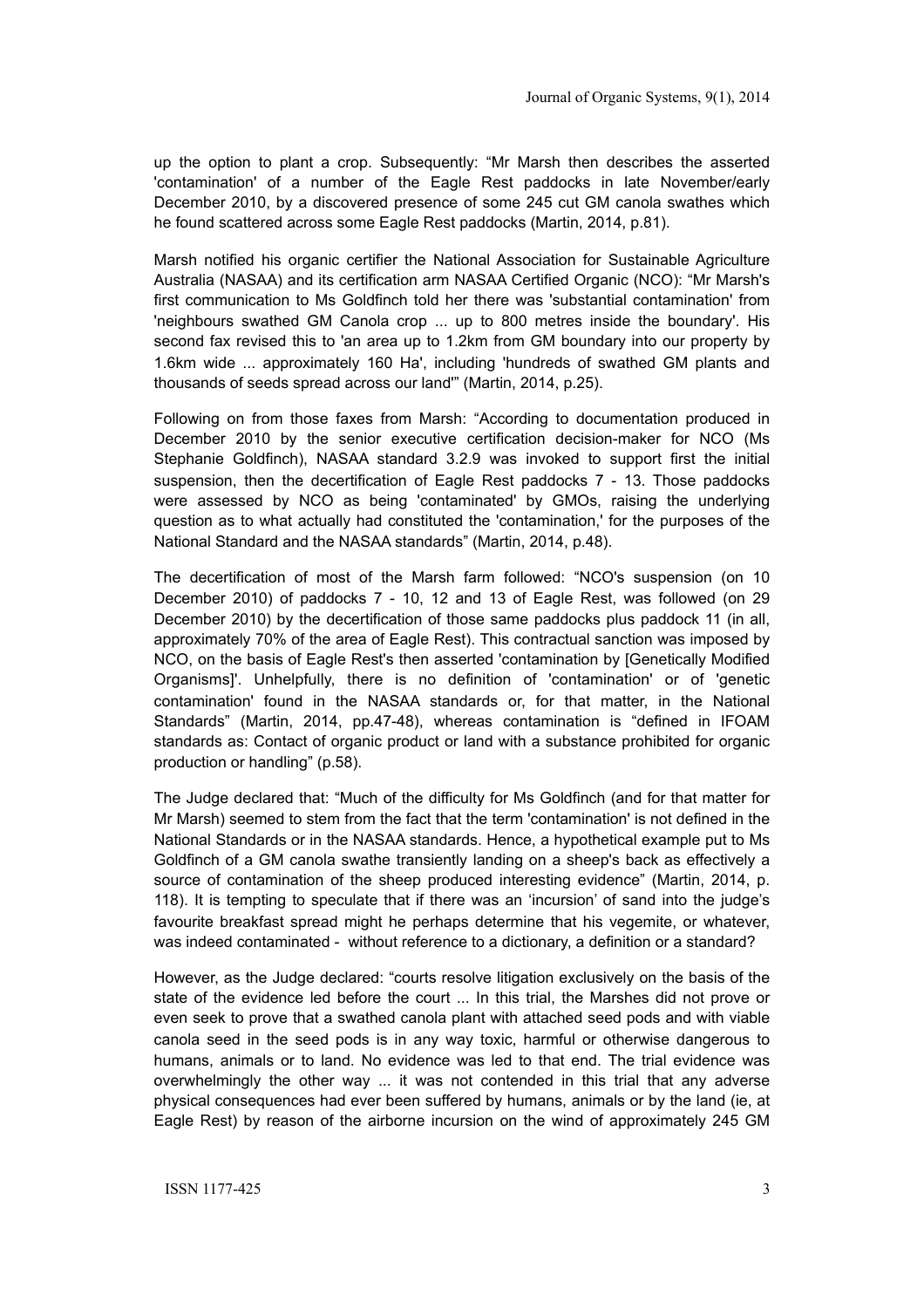up the option to plant a crop. Subsequently: "Mr Marsh then describes the asserted 'contamination' of a number of the Eagle Rest paddocks in late November/early December 2010, by a discovered presence of some 245 cut GM canola swathes which he found scattered across some Eagle Rest paddocks (Martin, 2014, p.81).

Marsh notified his organic certifier the National Association for Sustainable Agriculture Australia (NASAA) and its certification arm NASAA Certified Organic (NCO): "Mr Marsh's first communication to Ms Goldfinch told her there was 'substantial contamination' from 'neighbours swathed GM Canola crop ... up to 800 metres inside the boundary'. His second fax revised this to 'an area up to 1.2km from GM boundary into our property by 1.6km wide ... approximately 160 Ha', including 'hundreds of swathed GM plants and thousands of seeds spread across our land'" (Martin, 2014, p.25).

Following on from those faxes from Marsh: "According to documentation produced in December 2010 by the senior executive certification decision-maker for NCO (Ms Stephanie Goldfinch), NASAA standard 3.2.9 was invoked to support first the initial suspension, then the decertification of Eagle Rest paddocks 7 - 13. Those paddocks were assessed by NCO as being 'contaminated' by GMOs, raising the underlying question as to what actually had constituted the 'contamination,' for the purposes of the National Standard and the NASAA standards" (Martin, 2014, p.48).

The decertification of most of the Marsh farm followed: "NCO's suspension (on 10 December 2010) of paddocks 7 - 10, 12 and 13 of Eagle Rest, was followed (on 29 December 2010) by the decertification of those same paddocks plus paddock 11 (in all, approximately 70% of the area of Eagle Rest). This contractual sanction was imposed by NCO, on the basis of Eagle Rest's then asserted 'contamination by [Genetically Modified Organisms]'. Unhelpfully, there is no definition of 'contamination' or of 'genetic contamination' found in the NASAA standards or, for that matter, in the National Standards" (Martin, 2014, pp.47-48), whereas contamination is "defined in IFOAM standards as: Contact of organic product or land with a substance prohibited for organic production or handling" (p.58).

The Judge declared that: "Much of the difficulty for Ms Goldfinch (and for that matter for Mr Marsh) seemed to stem from the fact that the term 'contamination' is not defined in the National Standards or in the NASAA standards. Hence, a hypothetical example put to Ms Goldfinch of a GM canola swathe transiently landing on a sheep's back as effectively a source of contamination of the sheep produced interesting evidence" (Martin, 2014, p. 118). It is tempting to speculate that if there was an 'incursion' of sand into the judge's favourite breakfast spread might he perhaps determine that his vegemite, or whatever, was indeed contaminated - without reference to a dictionary, a definition or a standard?

However, as the Judge declared: "courts resolve litigation exclusively on the basis of the state of the evidence led before the court ... In this trial, the Marshes did not prove or even seek to prove that a swathed canola plant with attached seed pods and with viable canola seed in the seed pods is in any way toxic, harmful or otherwise dangerous to humans, animals or to land. No evidence was led to that end. The trial evidence was overwhelmingly the other way ... it was not contended in this trial that any adverse physical consequences had ever been suffered by humans, animals or by the land (ie, at Eagle Rest) by reason of the airborne incursion on the wind of approximately 245 GM